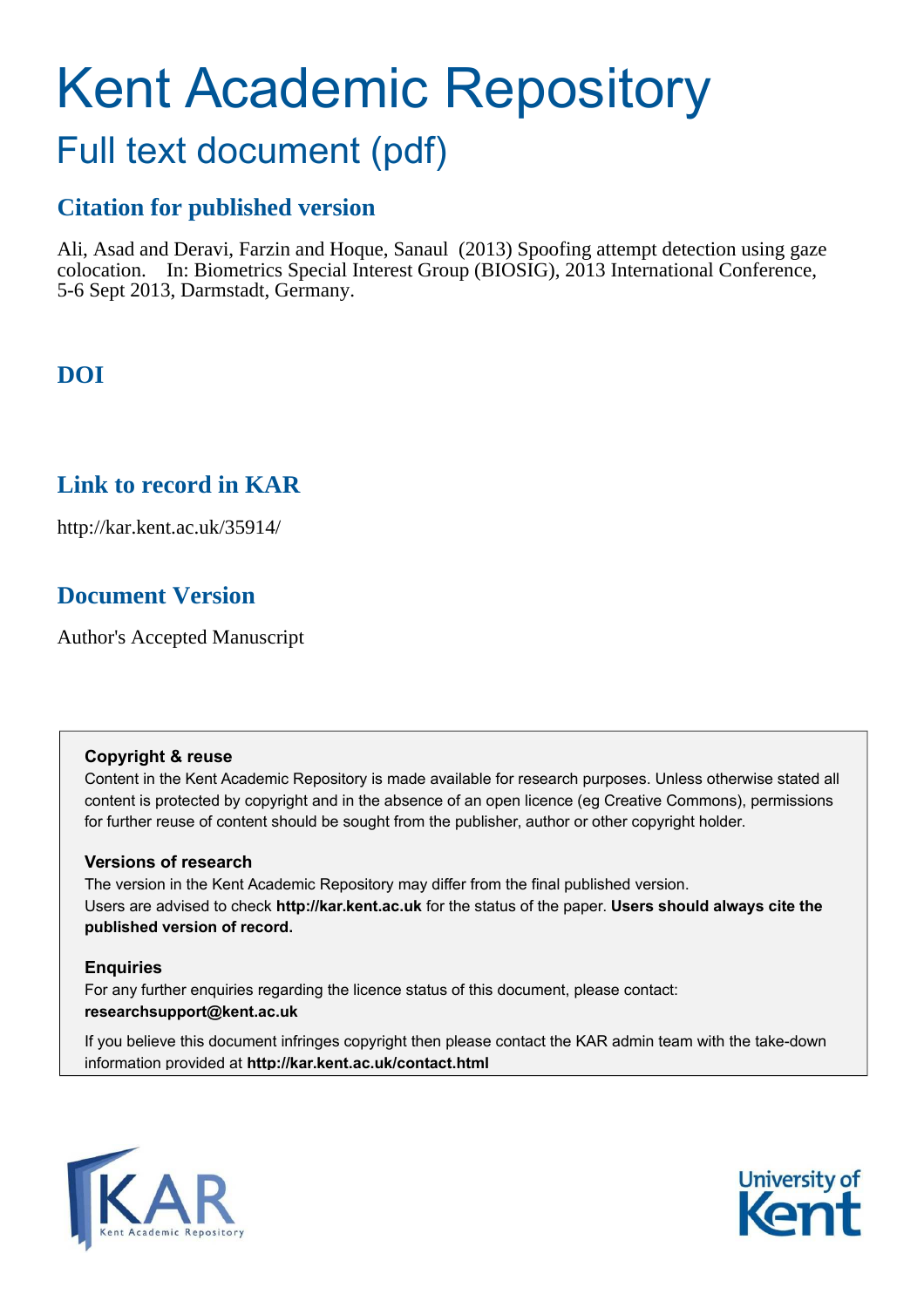# Kent Academic Repository

## Full text document (pdf)

## **Citation for published version**

Ali, Asad and Deravi, Farzin and Hoque, Sanaul (2013) Spoofing attempt detection using gaze colocation. In: Biometrics Special Interest Group (BIOSIG), 2013 International Conference, 5-6 Sept 2013, Darmstadt, Germany.

## **DOI**

## **Link to record in KAR**

http://kar.kent.ac.uk/35914/

## **Document Version**

Author's Accepted Manuscript

#### **Copyright & reuse**

Content in the Kent Academic Repository is made available for research purposes. Unless otherwise stated all content is protected by copyright and in the absence of an open licence (eg Creative Commons), permissions for further reuse of content should be sought from the publisher, author or other copyright holder.

#### **Versions of research**

The version in the Kent Academic Repository may differ from the final published version. Users are advised to check **http://kar.kent.ac.uk** for the status of the paper. **Users should always cite the published version of record.**

#### **Enquiries**

For any further enquiries regarding the licence status of this document, please contact: **researchsupport@kent.ac.uk**

If you believe this document infringes copyright then please contact the KAR admin team with the take-down information provided at **http://kar.kent.ac.uk/contact.html**



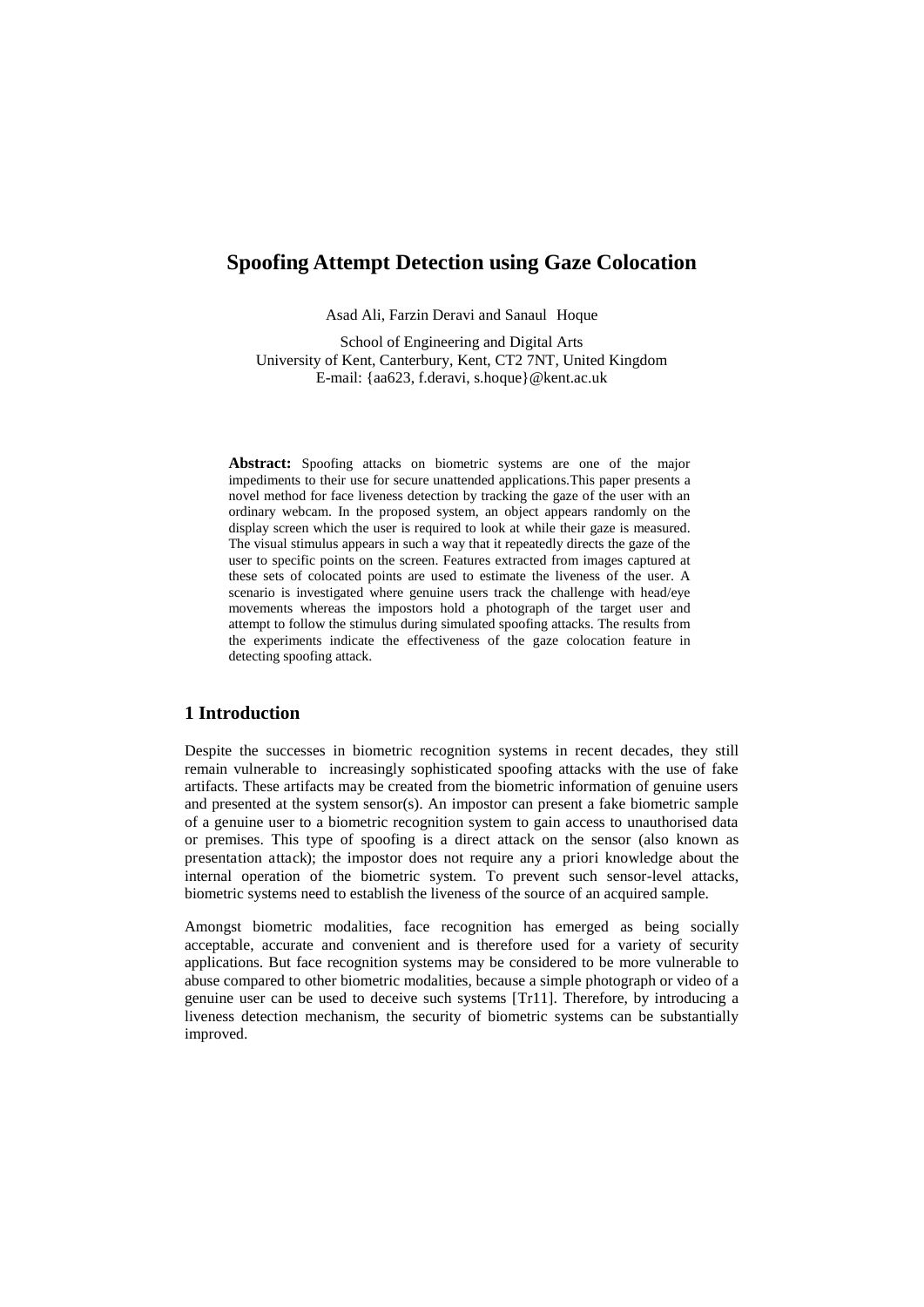#### **Spoofing Attempt Detection using Gaze Colocation**

Asad Ali, Farzin Deravi and Sanaul Hoque

School of Engineering and Digital Arts University of Kent, Canterbury, Kent, CT2 7NT, United Kingdom E-mail: {aa623, f.deravi, s.hoque}@kent.ac.uk

**Abstract:** Spoofing attacks on biometric systems are one of the major impediments to their use for secure unattended applications.This paper presents a novel method for face liveness detection by tracking the gaze of the user with an ordinary webcam. In the proposed system, an object appears randomly on the display screen which the user is required to look at while their gaze is measured. The visual stimulus appears in such a way that it repeatedly directs the gaze of the user to specific points on the screen. Features extracted from images captured at these sets of colocated points are used to estimate the liveness of the user. A scenario is investigated where genuine users track the challenge with head/eye movements whereas the impostors hold a photograph of the target user and attempt to follow the stimulus during simulated spoofing attacks. The results from the experiments indicate the effectiveness of the gaze colocation feature in detecting spoofing attack.

#### **1 Introduction**

Despite the successes in biometric recognition systems in recent decades, they still remain vulnerable to increasingly sophisticated spoofing attacks with the use of fake artifacts. These artifacts may be created from the biometric information of genuine users and presented at the system sensor(s). An impostor can present a fake biometric sample of a genuine user to a biometric recognition system to gain access to unauthorised data or premises. This type of spoofing is a direct attack on the sensor (also known as presentation attack); the impostor does not require any a priori knowledge about the internal operation of the biometric system. To prevent such sensor-level attacks, biometric systems need to establish the liveness of the source of an acquired sample.

Amongst biometric modalities, face recognition has emerged as being socially acceptable, accurate and convenient and is therefore used for a variety of security applications. But face recognition systems may be considered to be more vulnerable to abuse compared to other biometric modalities, because a simple photograph or video of a genuine user can be used to deceive such systems [Tr11]. Therefore, by introducing a liveness detection mechanism, the security of biometric systems can be substantially improved.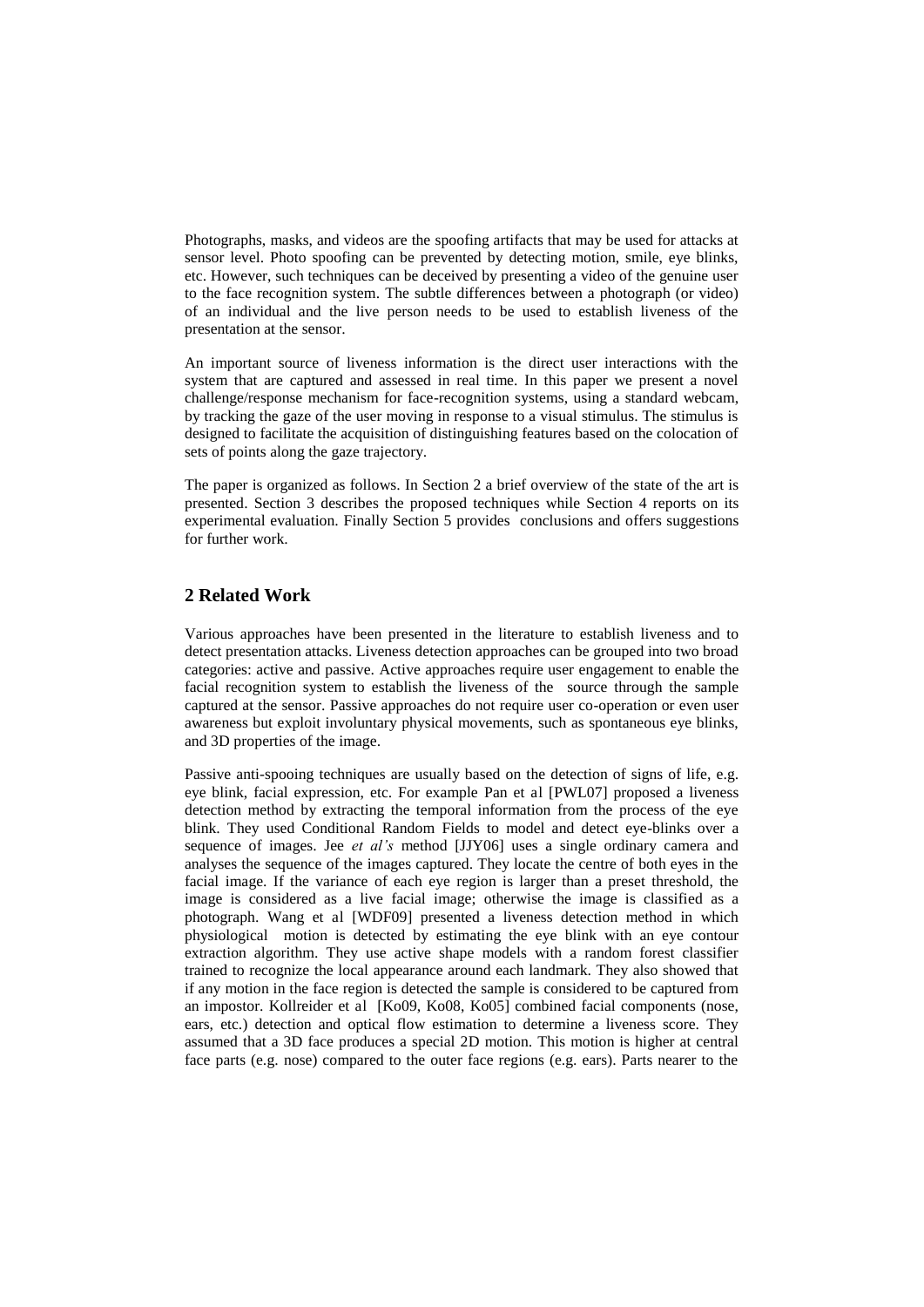Photographs, masks, and videos are the spoofing artifacts that may be used for attacks at sensor level. Photo spoofing can be prevented by detecting motion, smile, eye blinks, etc. However, such techniques can be deceived by presenting a video of the genuine user to the face recognition system. The subtle differences between a photograph (or video) of an individual and the live person needs to be used to establish liveness of the presentation at the sensor.

An important source of liveness information is the direct user interactions with the system that are captured and assessed in real time. In this paper we present a novel challenge/response mechanism for face-recognition systems, using a standard webcam, by tracking the gaze of the user moving in response to a visual stimulus. The stimulus is designed to facilitate the acquisition of distinguishing features based on the colocation of sets of points along the gaze trajectory.

The paper is organized as follows. In Section 2 a brief overview of the state of the art is presented. Section 3 describes the proposed techniques while Section 4 reports on its experimental evaluation. Finally Section 5 provides conclusions and offers suggestions for further work.

#### **2 Related Work**

Various approaches have been presented in the literature to establish liveness and to detect presentation attacks. Liveness detection approaches can be grouped into two broad categories: active and passive. Active approaches require user engagement to enable the facial recognition system to establish the liveness of the source through the sample captured at the sensor. Passive approaches do not require user co-operation or even user awareness but exploit involuntary physical movements, such as spontaneous eye blinks, and 3D properties of the image.

Passive anti-spooing techniques are usually based on the detection of signs of life, e.g. eye blink, facial expression, etc. For example Pan et al [PWL07] proposed a liveness detection method by extracting the temporal information from the process of the eye blink. They used Conditional Random Fields to model and detect eye-blinks over a sequence of images. Jee *et al's* method [JJY06] uses a single ordinary camera and analyses the sequence of the images captured. They locate the centre of both eyes in the facial image. If the variance of each eye region is larger than a preset threshold, the image is considered as a live facial image; otherwise the image is classified as a photograph. Wang et al [WDF09] presented a liveness detection method in which physiological motion is detected by estimating the eye blink with an eye contour extraction algorithm. They use active shape models with a random forest classifier trained to recognize the local appearance around each landmark. They also showed that if any motion in the face region is detected the sample is considered to be captured from an impostor. Kollreider et al [Ko09, Ko08, Ko05] combined facial components (nose, ears, etc.) detection and optical flow estimation to determine a liveness score. They assumed that a 3D face produces a special 2D motion. This motion is higher at central face parts (e.g. nose) compared to the outer face regions (e.g. ears). Parts nearer to the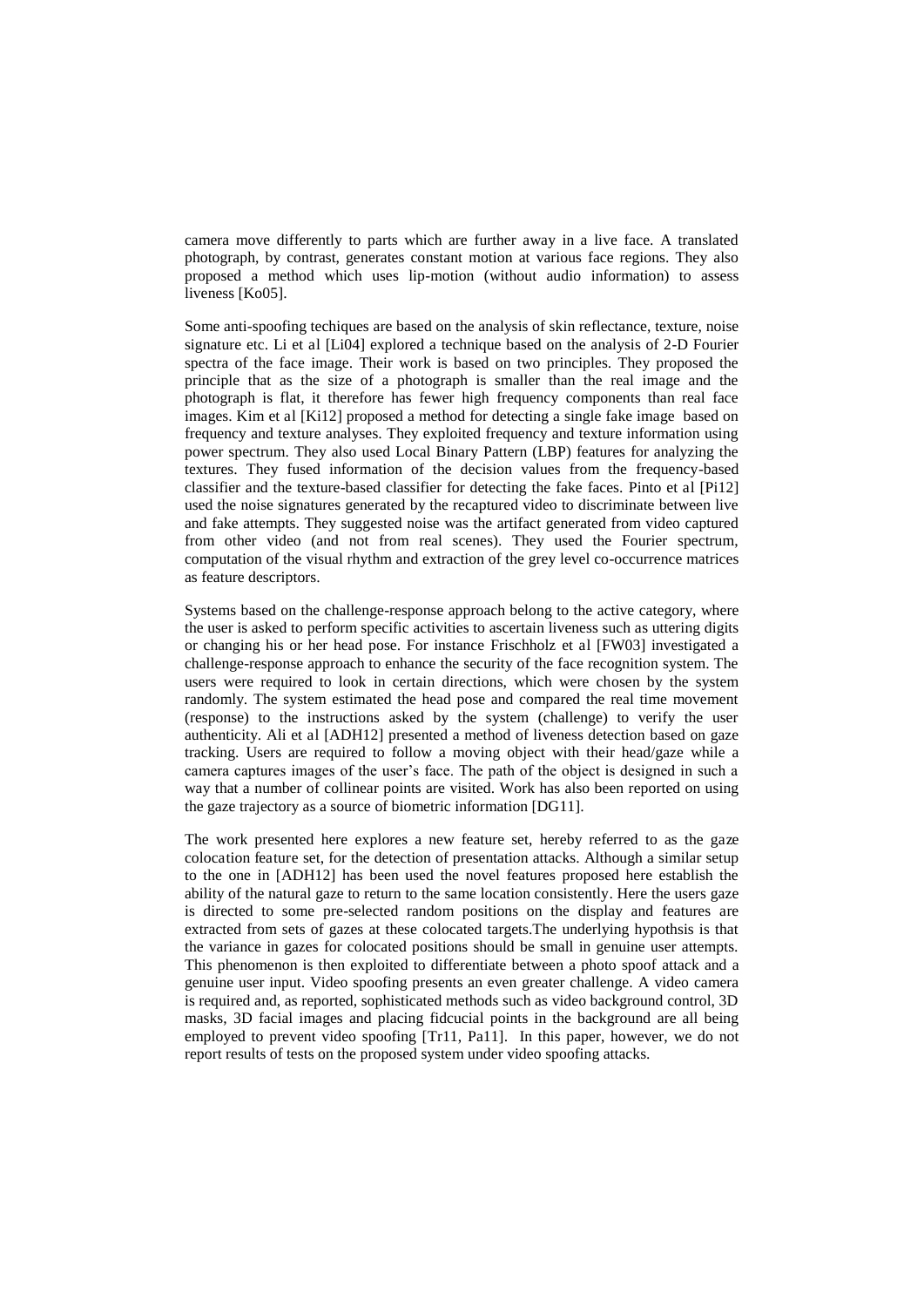camera move differently to parts which are further away in a live face. A translated photograph, by contrast, generates constant motion at various face regions. They also proposed a method which uses lip-motion (without audio information) to assess liveness [Ko05].

Some anti-spoofing techiques are based on the analysis of skin reflectance, texture, noise signature etc. Li et al [Li04] explored a technique based on the analysis of 2-D Fourier spectra of the face image. Their work is based on two principles. They proposed the principle that as the size of a photograph is smaller than the real image and the photograph is flat, it therefore has fewer high frequency components than real face images. Kim et al [Ki12] proposed a method for detecting a single fake image based on frequency and texture analyses. They exploited frequency and texture information using power spectrum. They also used Local Binary Pattern (LBP) features for analyzing the textures. They fused information of the decision values from the frequency-based classifier and the texture-based classifier for detecting the fake faces. Pinto et al [Pi12] used the noise signatures generated by the recaptured video to discriminate between live and fake attempts. They suggested noise was the artifact generated from video captured from other video (and not from real scenes). They used the Fourier spectrum, computation of the visual rhythm and extraction of the grey level co-occurrence matrices as feature descriptors.

Systems based on the challenge-response approach belong to the active category, where the user is asked to perform specific activities to ascertain liveness such as uttering digits or changing his or her head pose. For instance Frischholz et al [FW03] investigated a challenge-response approach to enhance the security of the face recognition system. The users were required to look in certain directions, which were chosen by the system randomly. The system estimated the head pose and compared the real time movement (response) to the instructions asked by the system (challenge) to verify the user authenticity. Ali et al [ADH12] presented a method of liveness detection based on gaze tracking. Users are required to follow a moving object with their head/gaze while a camera captures images of the user's face. The path of the object is designed in such a way that a number of collinear points are visited. Work has also been reported on using the gaze trajectory as a source of biometric information [DG11].

The work presented here explores a new feature set, hereby referred to as the gaze colocation feature set, for the detection of presentation attacks. Although a similar setup to the one in [ADH12] has been used the novel features proposed here establish the ability of the natural gaze to return to the same location consistently. Here the users gaze is directed to some pre-selected random positions on the display and features are extracted from sets of gazes at these colocated targets.The underlying hypothsis is that the variance in gazes for colocated positions should be small in genuine user attempts. This phenomenon is then exploited to differentiate between a photo spoof attack and a genuine user input. Video spoofing presents an even greater challenge. A video camera is required and, as reported, sophisticated methods such as video background control, 3D masks, 3D facial images and placing fidcucial points in the background are all being employed to prevent video spoofing [Tr11, Pa11]. In this paper, however, we do not report results of tests on the proposed system under video spoofing attacks.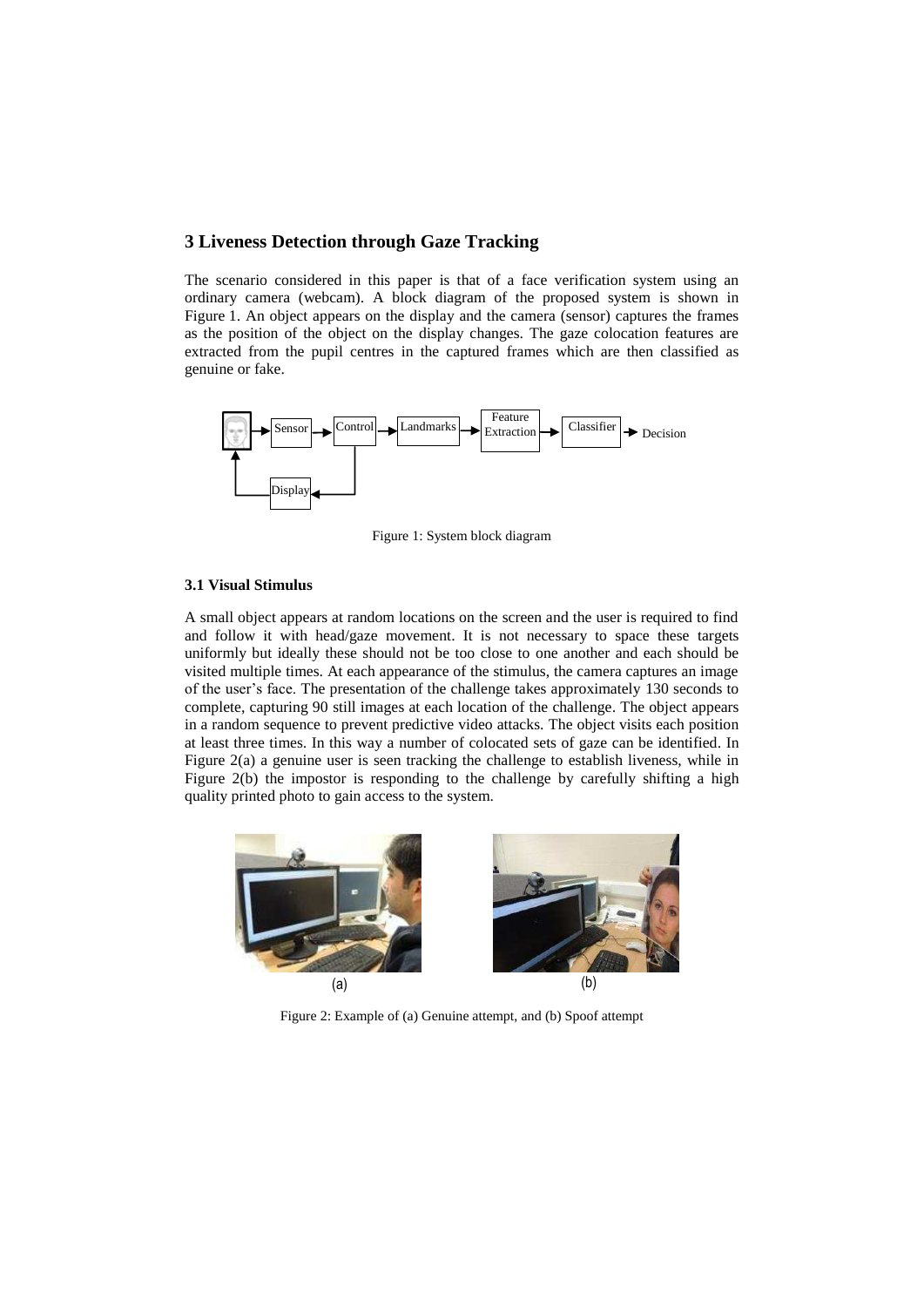#### **3 Liveness Detection through Gaze Tracking**

The scenario considered in this paper is that of a face verification system using an ordinary camera (webcam). A block diagram of the proposed system is shown in Figure 1. An object appears on the display and the camera (sensor) captures the frames as the position of the object on the display changes. The gaze colocation features are extracted from the pupil centres in the captured frames which are then classified as genuine or fake.



Figure 1: System block diagram

#### **3.1 Visual Stimulus**

A small object appears at random locations on the screen and the user is required to find and follow it with head/gaze movement. It is not necessary to space these targets uniformly but ideally these should not be too close to one another and each should be visited multiple times. At each appearance of the stimulus, the camera captures an image of the user's face. The presentation of the challenge takes approximately 130 seconds to complete, capturing 90 still images at each location of the challenge. The object appears in a random sequence to prevent predictive video attacks. The object visits each position at least three times. In this way a number of colocated sets of gaze can be identified. In Figure 2(a) a genuine user is seen tracking the challenge to establish liveness, while in Figure 2(b) the impostor is responding to the challenge by carefully shifting a high quality printed photo to gain access to the system.



Figure 2: Example of (a) Genuine attempt, and (b) Spoof attempt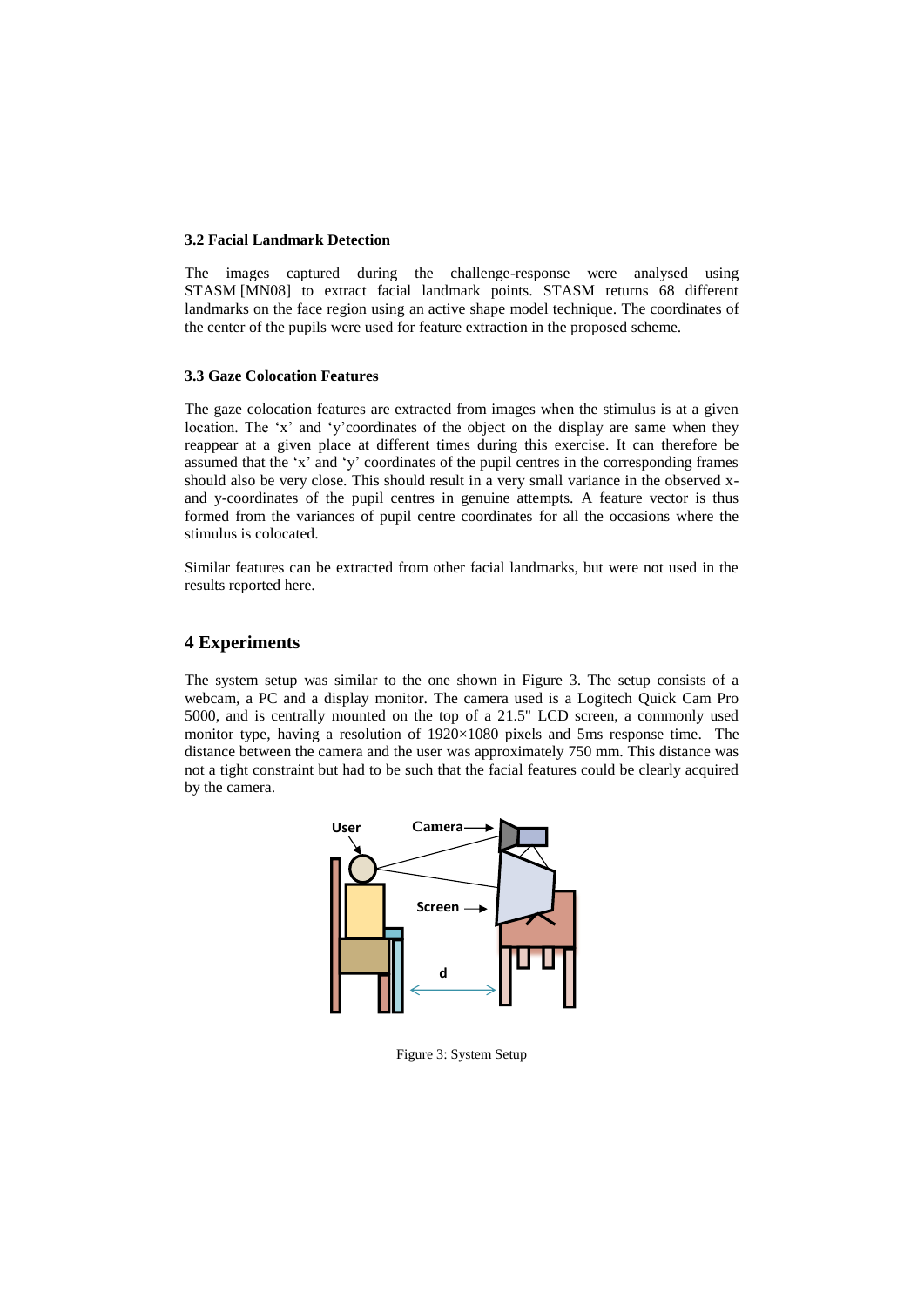#### **3.2 Facial Landmark Detection**

The images captured during the challenge-response were analysed using STASM [MN08] to extract facial landmark points. STASM returns 68 different landmarks on the face region using an active shape model technique. The coordinates of the center of the pupils were used for feature extraction in the proposed scheme.

#### **3.3 Gaze Colocation Features**

The gaze colocation features are extracted from images when the stimulus is at a given location. The 'x' and 'y'coordinates of the object on the display are same when they reappear at a given place at different times during this exercise. It can therefore be assumed that the 'x' and 'y' coordinates of the pupil centres in the corresponding frames should also be very close. This should result in a very small variance in the observed xand y-coordinates of the pupil centres in genuine attempts. A feature vector is thus formed from the variances of pupil centre coordinates for all the occasions where the stimulus is colocated.

Similar features can be extracted from other facial landmarks, but were not used in the results reported here.

#### **4 Experiments**

The system setup was similar to the one shown in Figure 3. The setup consists of a webcam, a PC and a display monitor. The camera used is a Logitech Quick Cam Pro 5000, and is centrally mounted on the top of a 21.5" LCD screen, a commonly used monitor type, having a resolution of 1920×1080 pixels and 5ms response time. The distance between the camera and the user was approximately 750 mm. This distance was not a tight constraint but had to be such that the facial features could be clearly acquired by the camera.



Figure 3: System Setup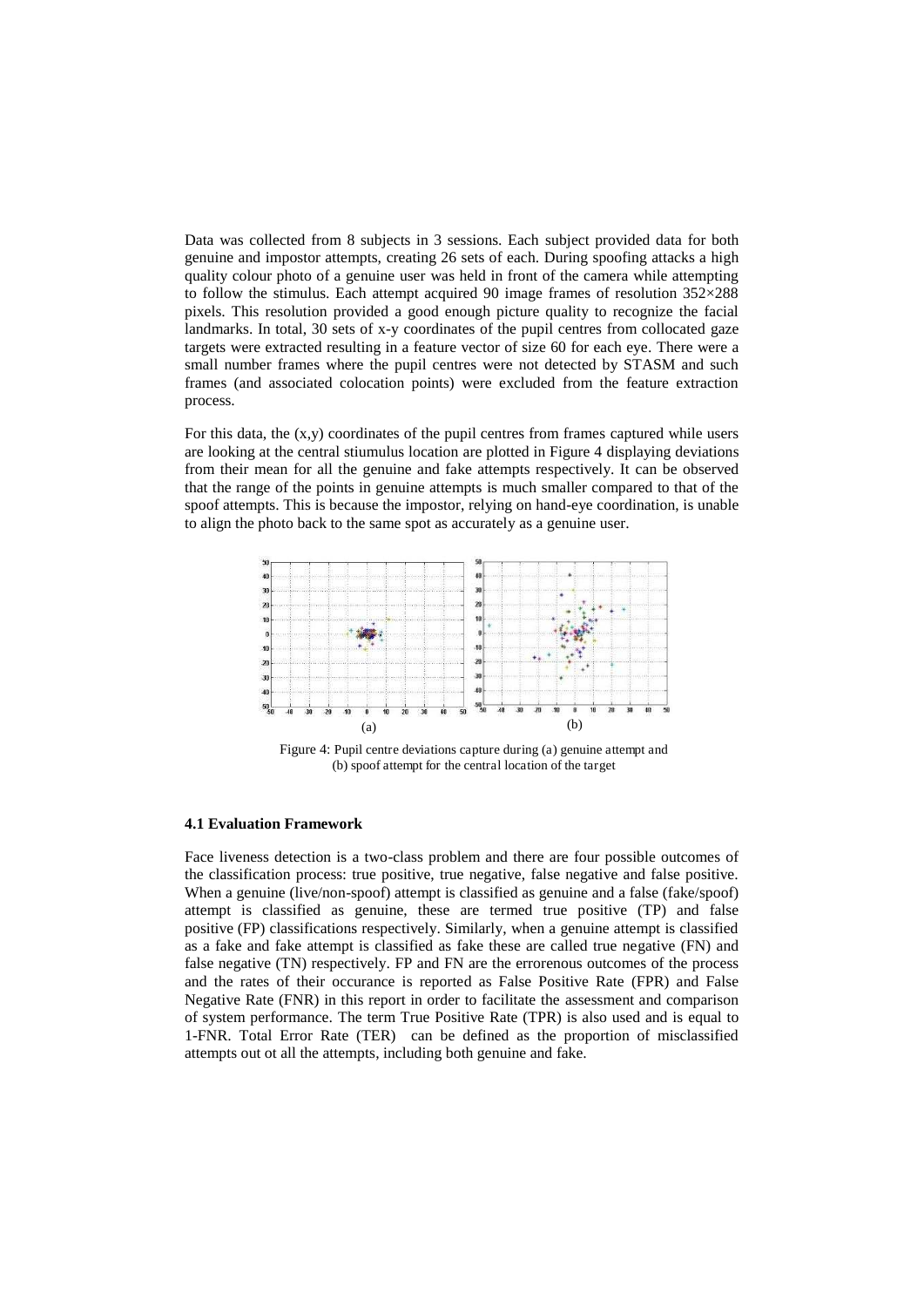Data was collected from 8 subjects in 3 sessions. Each subject provided data for both genuine and impostor attempts, creating 26 sets of each. During spoofing attacks a high quality colour photo of a genuine user was held in front of the camera while attempting to follow the stimulus. Each attempt acquired 90 image frames of resolution 352×288 pixels. This resolution provided a good enough picture quality to recognize the facial landmarks. In total, 30 sets of x-y coordinates of the pupil centres from collocated gaze targets were extracted resulting in a feature vector of size 60 for each eye. There were a small number frames where the pupil centres were not detected by STASM and such frames (and associated colocation points) were excluded from the feature extraction process.

For this data, the (x,y) coordinates of the pupil centres from frames captured while users are looking at the central stiumulus location are plotted in Figure 4 displaying deviations from their mean for all the genuine and fake attempts respectively. It can be observed that the range of the points in genuine attempts is much smaller compared to that of the spoof attempts. This is because the impostor, relying on hand-eye coordination, is unable to align the photo back to the same spot as accurately as a genuine user.



Figure 4: Pupil centre deviations capture during (a) genuine attempt and (b) spoof attempt for the central location of the target

#### **4.1 Evaluation Framework**

Face liveness detection is a two-class problem and there are four possible outcomes of the classification process: true positive, true negative, false negative and false positive. When a genuine (live/non-spoof) attempt is classified as genuine and a false (fake/spoof) attempt is classified as genuine, these are termed true positive (TP) and false positive (FP) classifications respectively. Similarly, when a genuine attempt is classified as a fake and fake attempt is classified as fake these are called true negative (FN) and false negative (TN) respectively. FP and FN are the errorenous outcomes of the process and the rates of their occurance is reported as False Positive Rate (FPR) and False Negative Rate (FNR) in this report in order to facilitate the assessment and comparison of system performance. The term True Positive Rate (TPR) is also used and is equal to 1-FNR. Total Error Rate (TER) can be defined as the proportion of misclassified attempts out ot all the attempts, including both genuine and fake.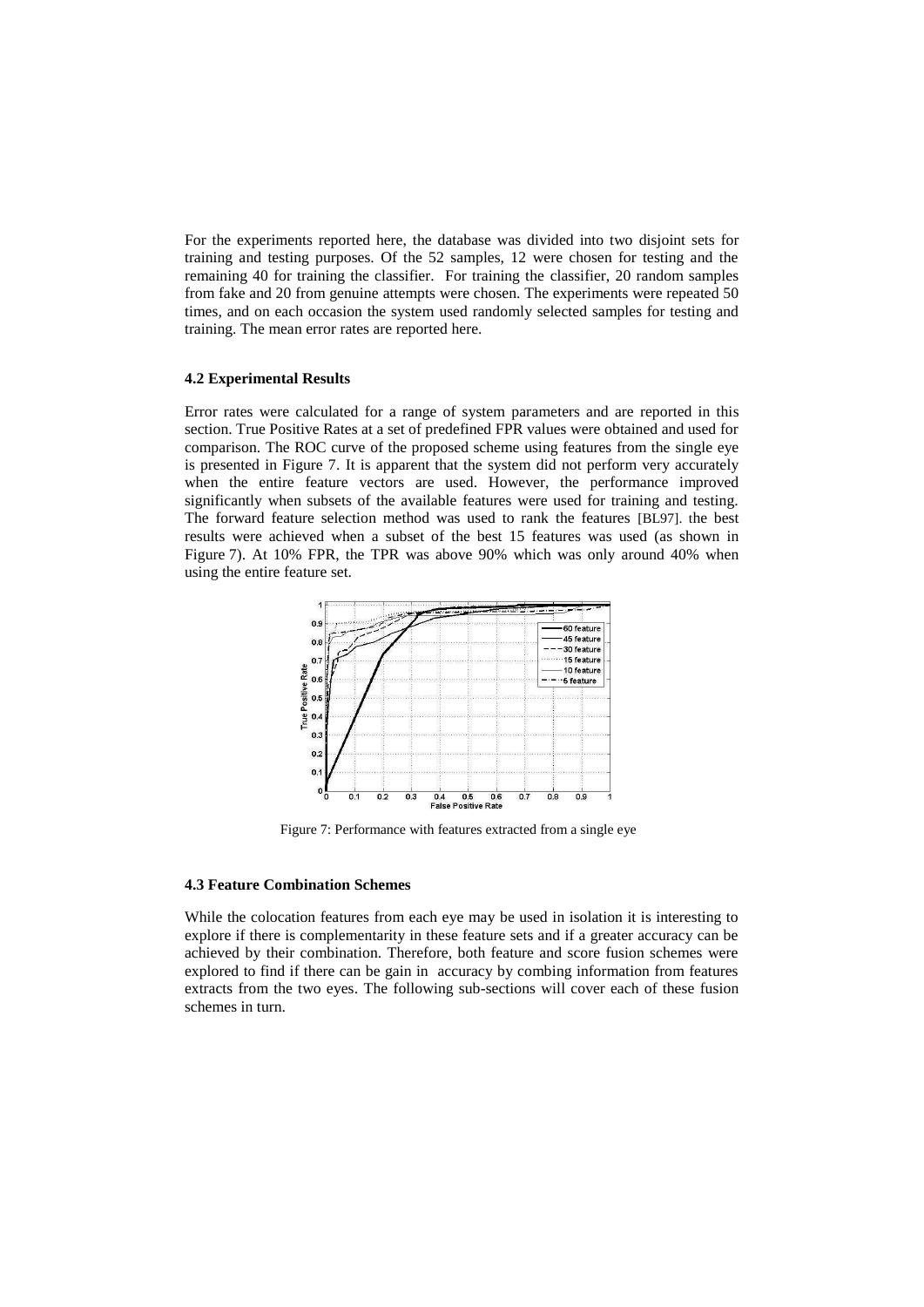For the experiments reported here, the database was divided into two disjoint sets for training and testing purposes. Of the 52 samples, 12 were chosen for testing and the remaining 40 for training the classifier. For training the classifier, 20 random samples from fake and 20 from genuine attempts were chosen. The experiments were repeated 50 times, and on each occasion the system used randomly selected samples for testing and training. The mean error rates are reported here.

#### **4.2 Experimental Results**

Error rates were calculated for a range of system parameters and are reported in this section. True Positive Rates at a set of predefined FPR values were obtained and used for comparison. The ROC curve of the proposed scheme using features from the single eye is presented in Figure 7. It is apparent that the system did not perform very accurately when the entire feature vectors are used. However, the performance improved significantly when subsets of the available features were used for training and testing. The forward feature selection method was used to rank the features [BL97]. the best results were achieved when a subset of the best 15 features was used (as shown in Figure 7). At 10% FPR, the TPR was above 90% which was only around 40% when using the entire feature set.



Figure 7: Performance with features extracted from a single eye

#### **4.3 Feature Combination Schemes**

While the colocation features from each eye may be used in isolation it is interesting to explore if there is complementarity in these feature sets and if a greater accuracy can be achieved by their combination. Therefore, both feature and score fusion schemes were explored to find if there can be gain in accuracy by combing information from features extracts from the two eyes. The following sub-sections will cover each of these fusion schemes in turn.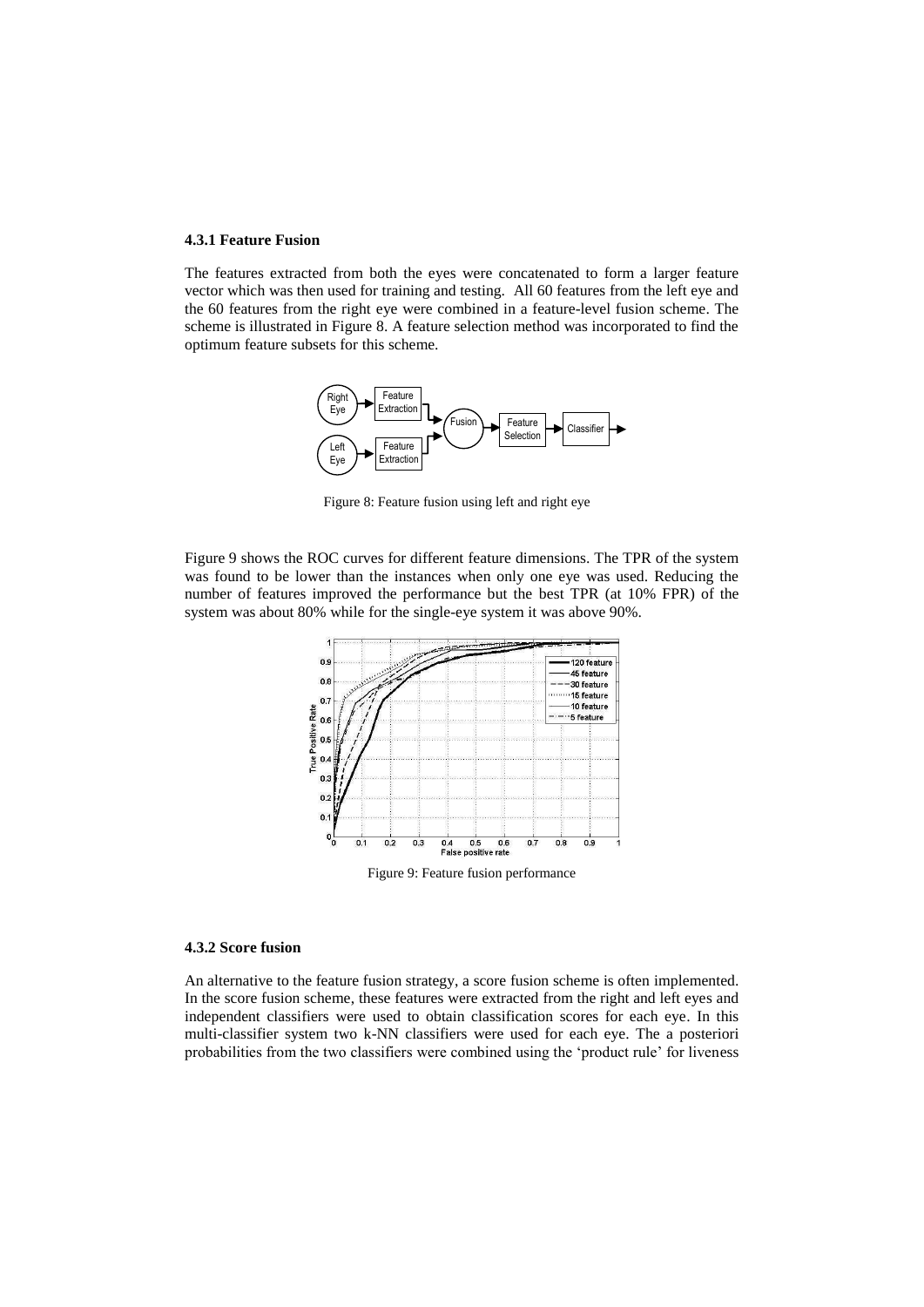#### **4.3.1 Feature Fusion**

The features extracted from both the eyes were concatenated to form a larger feature vector which was then used for training and testing. All 60 features from the left eye and the 60 features from the right eye were combined in a feature-level fusion scheme. The scheme is illustrated in Figure 8. A feature selection method was incorporated to find the optimum feature subsets for this scheme.



Figure 8: Feature fusion using left and right eye

Figure 9 shows the ROC curves for different feature dimensions. The TPR of the system was found to be lower than the instances when only one eye was used. Reducing the number of features improved the performance but the best TPR (at 10% FPR) of the system was about 80% while for the single-eye system it was above 90%.



Figure 9: Feature fusion performance

#### **4.3.2 Score fusion**

An alternative to the feature fusion strategy, a score fusion scheme is often implemented. In the score fusion scheme, these features were extracted from the right and left eyes and independent classifiers were used to obtain classification scores for each eye. In this multi-classifier system two k-NN classifiers were used for each eye. The a posteriori probabilities from the two classifiers were combined using the 'product rule' for liveness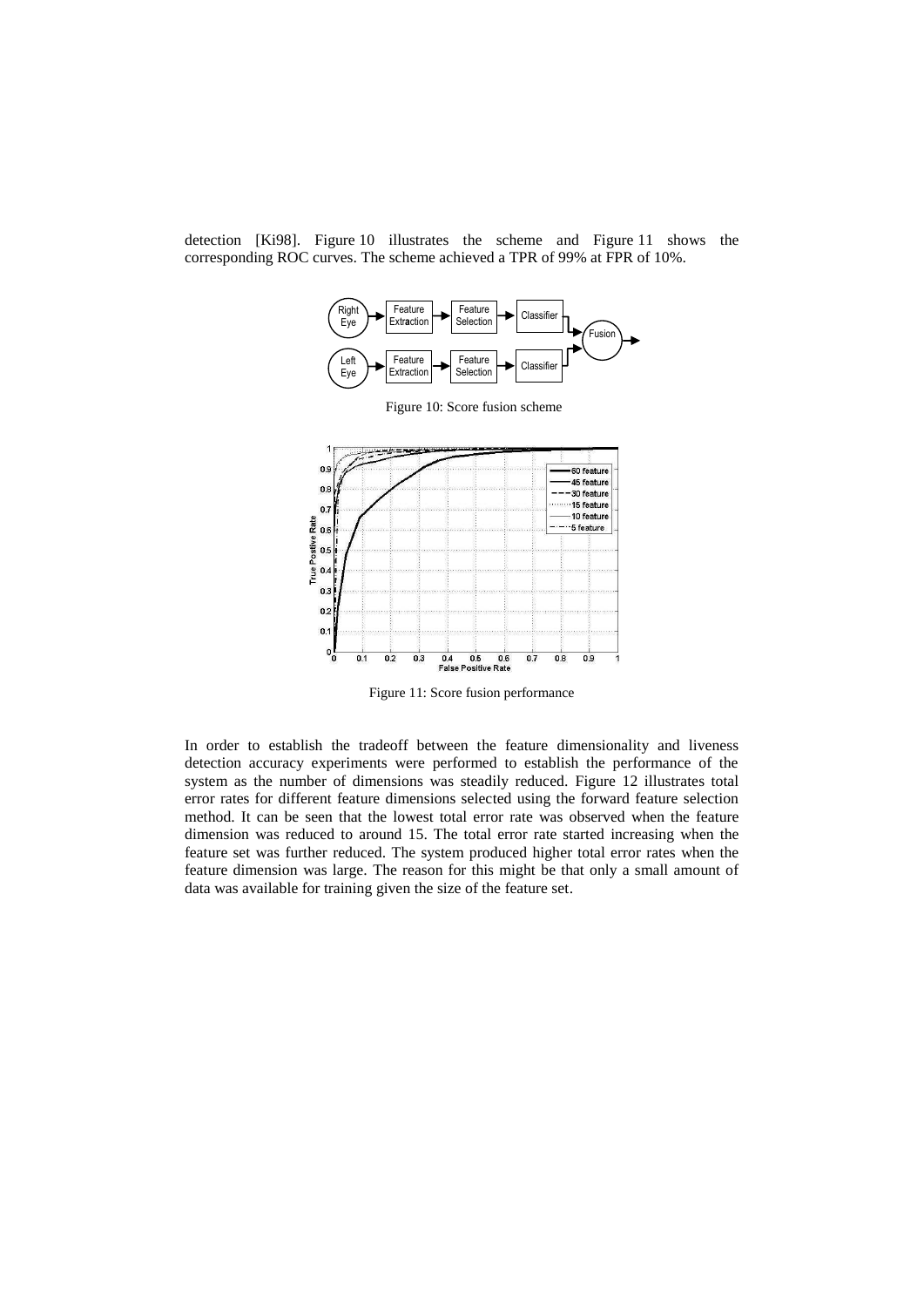detection [Ki98]. Figure 10 illustrates the scheme and Figure 11 shows the corresponding ROC curves. The scheme achieved a TPR of 99% at FPR of 10%.



Figure 11: Score fusion performance

In order to establish the tradeoff between the feature dimensionality and liveness detection accuracy experiments were performed to establish the performance of the system as the number of dimensions was steadily reduced. Figure 12 illustrates total error rates for different feature dimensions selected using the forward feature selection method. It can be seen that the lowest total error rate was observed when the feature dimension was reduced to around 15. The total error rate started increasing when the feature set was further reduced. The system produced higher total error rates when the feature dimension was large. The reason for this might be that only a small amount of data was available for training given the size of the feature set.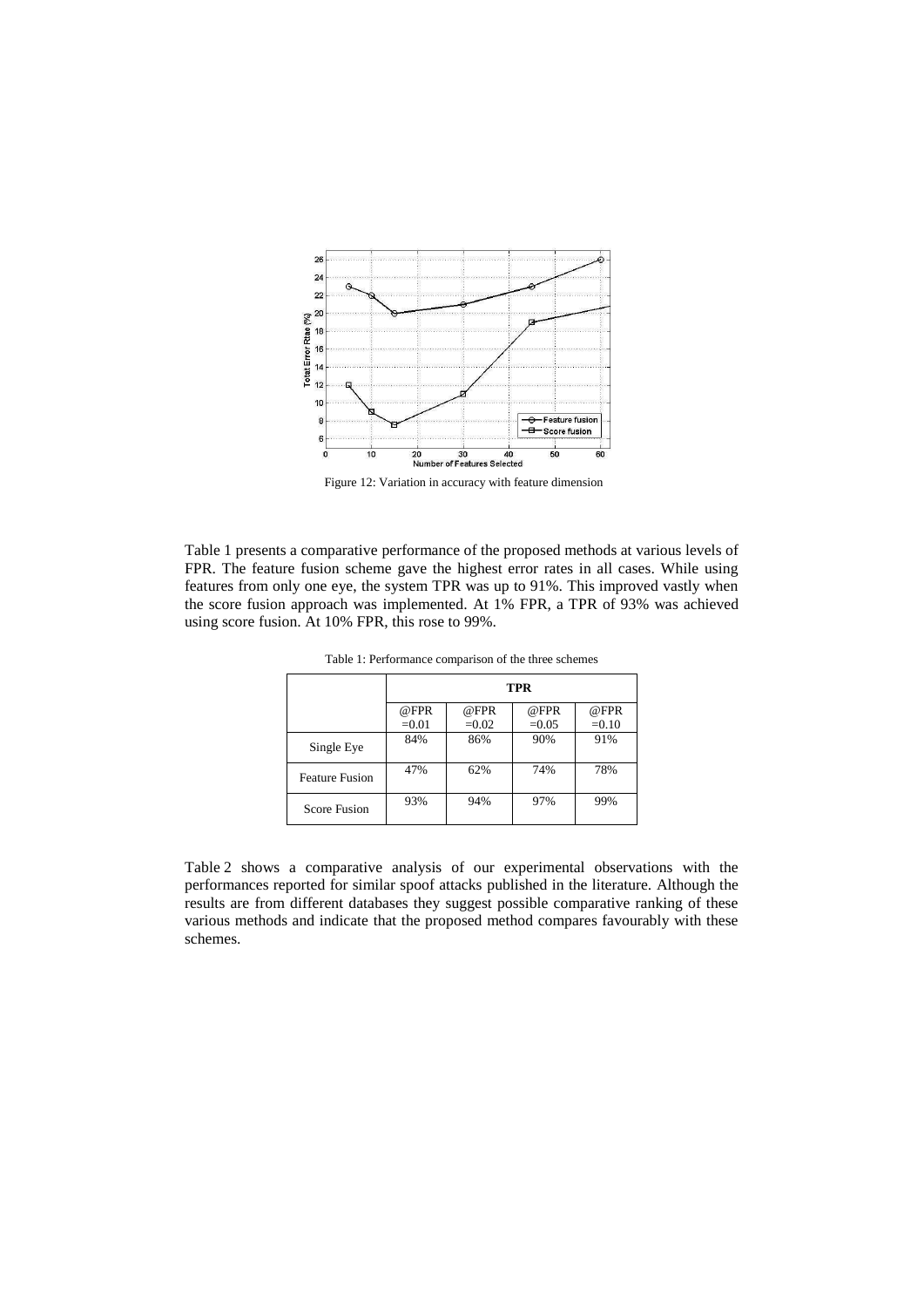

Figure 12: Variation in accuracy with feature dimension

Table 1 presents a comparative performance of the proposed methods at various levels of FPR. The feature fusion scheme gave the highest error rates in all cases. While using features from only one eye, the system TPR was up to 91%. This improved vastly when the score fusion approach was implemented. At 1% FPR, a TPR of 93% was achieved using score fusion. At 10% FPR, this rose to 99%.

|                       | TPR             |                 |                 |                 |
|-----------------------|-----------------|-----------------|-----------------|-----------------|
|                       | @FPR<br>$=0.01$ | @FPR<br>$=0.02$ | @FPR<br>$=0.05$ | @FPR<br>$=0.10$ |
| Single Eye            | 84%             | 86%             | 90%             | 91%             |
| <b>Feature Fusion</b> | 47%             | 62%             | 74%             | 78%             |
| <b>Score Fusion</b>   | 93%             | 94%             | 97%             | 99%             |

Table 1: Performance comparison of the three schemes

Table 2 shows a comparative analysis of our experimental observations with the performances reported for similar spoof attacks published in the literature. Although the results are from different databases they suggest possible comparative ranking of these various methods and indicate that the proposed method compares favourably with these schemes.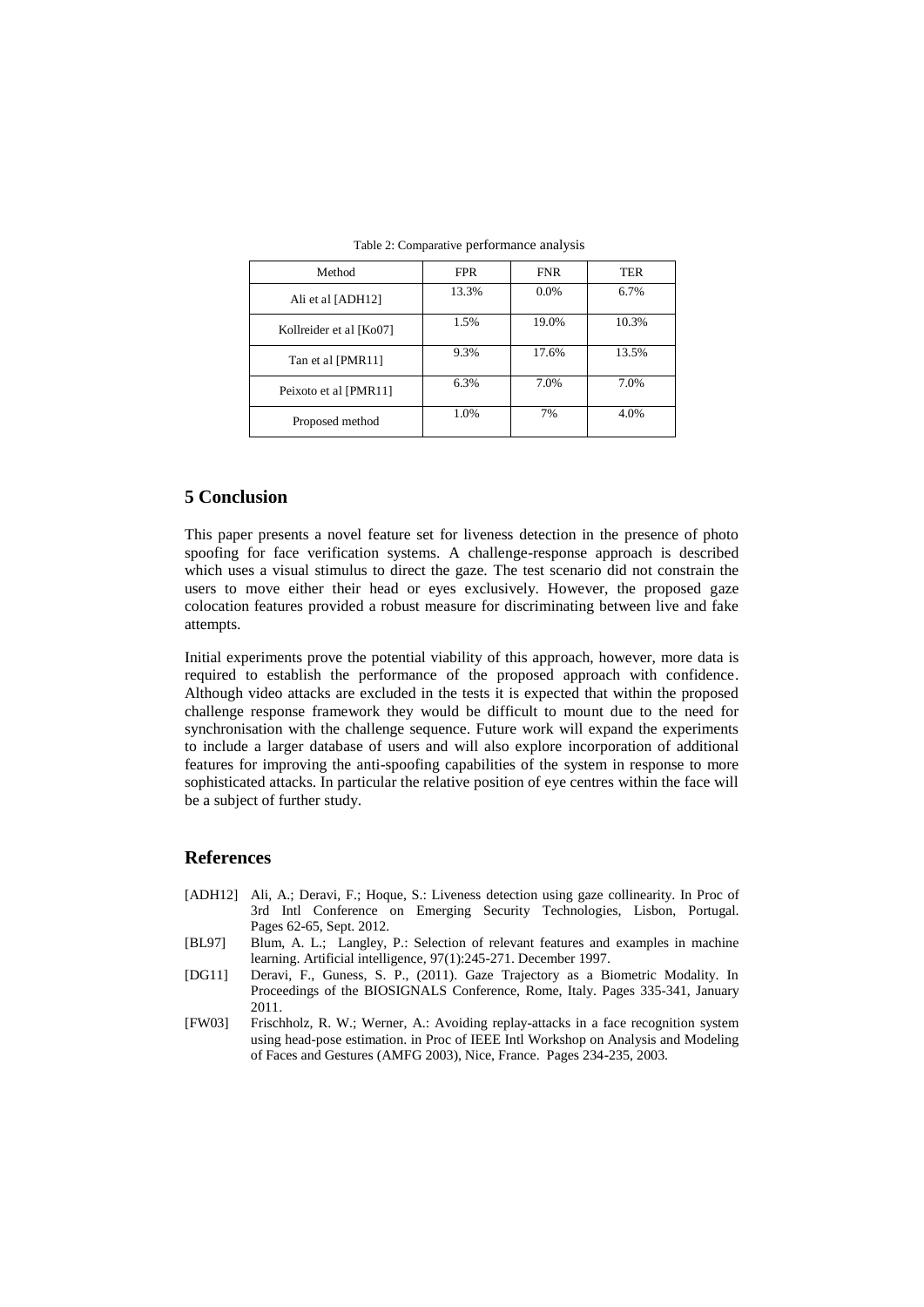| Method                  | <b>FPR</b> | <b>FNR</b> | TER   |
|-------------------------|------------|------------|-------|
| Ali et al [ADH12]       | 13.3%      | $0.0\%$    | 6.7%  |
| Kollreider et al [Ko07] | 1.5%       | 19.0%      | 10.3% |
| Tan et al [PMR11]       | 9.3%       | 17.6%      | 13.5% |
| Peixoto et al [PMR11]   | 6.3%       | 7.0%       | 7.0%  |
| Proposed method         | 1.0%       | 7%         | 4.0%  |

Table 2: Comparative performance analysis

#### **5 Conclusion**

This paper presents a novel feature set for liveness detection in the presence of photo spoofing for face verification systems. A challenge-response approach is described which uses a visual stimulus to direct the gaze. The test scenario did not constrain the users to move either their head or eyes exclusively. However, the proposed gaze colocation features provided a robust measure for discriminating between live and fake attempts.

Initial experiments prove the potential viability of this approach, however, more data is required to establish the performance of the proposed approach with confidence. Although video attacks are excluded in the tests it is expected that within the proposed challenge response framework they would be difficult to mount due to the need for synchronisation with the challenge sequence. Future work will expand the experiments to include a larger database of users and will also explore incorporation of additional features for improving the anti-spoofing capabilities of the system in response to more sophisticated attacks. In particular the relative position of eye centres within the face will be a subject of further study.

#### **References**

- [ADH12] Ali, A.; Deravi, F.; Hoque, S.: Liveness detection using gaze collinearity. In Proc of 3rd Intl Conference on Emerging Security Technologies, Lisbon, Portugal. Pages 62-65, Sept. 2012.
- [BL97] Blum, A. L.; Langley, P.: Selection of relevant features and examples in machine learning. Artificial intelligence, 97(1):245-271. December 1997.
- [DG11] Deravi, F., Guness, S. P., (2011). Gaze Trajectory as a Biometric Modality. In Proceedings of the BIOSIGNALS Conference, Rome, Italy. Pages 335-341, January 2011.
- [FW03] Frischholz, R. W.; Werner, A.: Avoiding replay-attacks in a face recognition system using head-pose estimation. in Proc of IEEE Intl Workshop on Analysis and Modeling of Faces and Gestures (AMFG 2003), Nice, France. Pages 234-235, 2003.